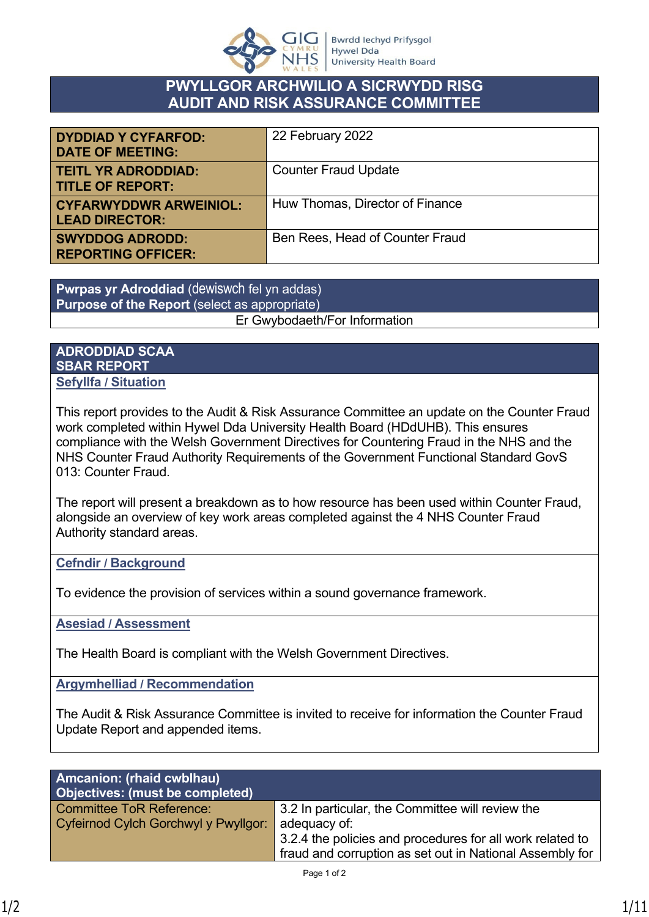

### **PWYLLGOR ARCHWILIO A SICRWYDD RISG AUDIT AND RISK ASSURANCE COMMITTEE**

| <b>DYDDIAD Y CYFARFOD:</b><br><b>DATE OF MEETING:</b>  | 22 February 2022                |
|--------------------------------------------------------|---------------------------------|
| <b>TEITL YR ADRODDIAD:</b><br><b>TITLE OF REPORT:</b>  | <b>Counter Fraud Update</b>     |
| <b>CYFARWYDDWR ARWEINIOL:</b><br><b>LEAD DIRECTOR:</b> | Huw Thomas, Director of Finance |
| <b>SWYDDOG ADRODD:</b><br><b>REPORTING OFFICER:</b>    | Ben Rees, Head of Counter Fraud |

**Pwrpas yr Adroddiad** (dewiswch fel yn addas) **Purpose of the Report** (select as appropriate) Er Gwybodaeth/For Information

### **ADRODDIAD SCAA SBAR REPORT Sefyllfa / Situation**

This report provides to the Audit & Risk Assurance Committee an update on the Counter Fraud work completed within Hywel Dda University Health Board (HDdUHB). This ensures compliance with the Welsh Government Directives for Countering Fraud in the NHS and the NHS Counter Fraud Authority Requirements of the Government Functional Standard GovS 013: Counter Fraud.

The report will present a breakdown as to how resource has been used within Counter Fraud, alongside an overview of key work areas completed against the 4 NHS Counter Fraud Authority standard areas.

### **Cefndir / Background**

To evidence the provision of services within a sound governance framework.

### **Asesiad / Assessment**

The Health Board is compliant with the Welsh Government Directives.

**Argymhelliad / Recommendation**

The Audit & Risk Assurance Committee is invited to receive for information the Counter Fraud Update Report and appended items.

| <b>Amcanion: (rhaid cwblhau)</b><br>Objectives: (must be completed) |                                                           |
|---------------------------------------------------------------------|-----------------------------------------------------------|
| <b>Committee ToR Reference:</b>                                     | 3.2 In particular, the Committee will review the          |
| Cyfeirnod Cylch Gorchwyl y Pwyllgor:                                | adequacy of:                                              |
|                                                                     | 3.2.4 the policies and procedures for all work related to |
|                                                                     | fraud and corruption as set out in National Assembly for  |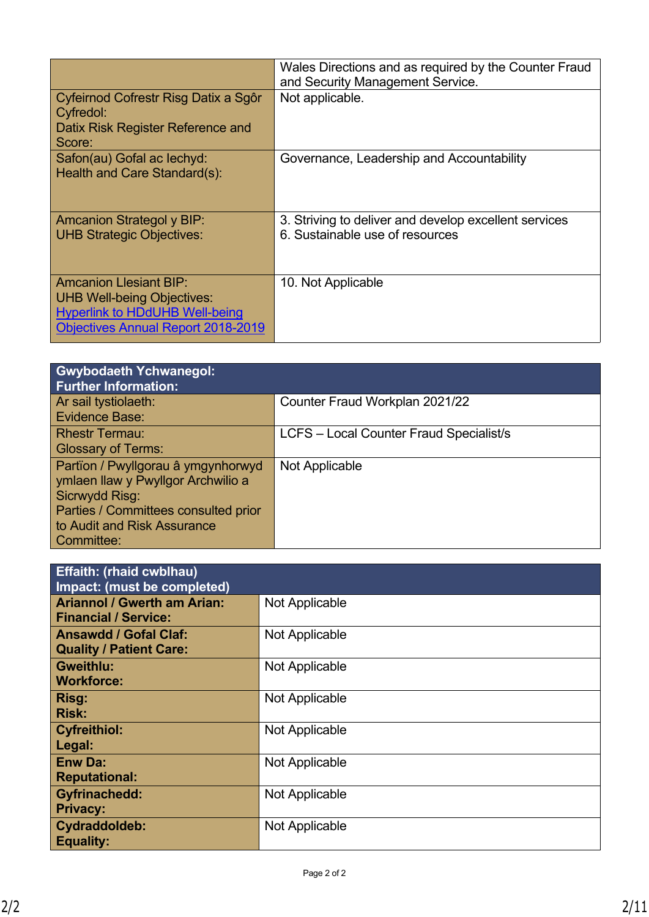|                                                                                                                                                          | Wales Directions and as required by the Counter Fraud<br>and Security Management Service. |
|----------------------------------------------------------------------------------------------------------------------------------------------------------|-------------------------------------------------------------------------------------------|
| Cyfeirnod Cofrestr Risg Datix a Sgôr<br>Cyfredol:<br>Datix Risk Register Reference and<br>Score:                                                         | Not applicable.                                                                           |
| Safon(au) Gofal ac lechyd:<br>Health and Care Standard(s):                                                                                               | Governance, Leadership and Accountability                                                 |
| <b>Amcanion Strategol y BIP:</b><br><b>UHB Strategic Objectives:</b>                                                                                     | 3. Striving to deliver and develop excellent services<br>6. Sustainable use of resources  |
| <b>Amcanion Llesiant BIP:</b><br><b>UHB Well-being Objectives:</b><br><b>Hyperlink to HDdUHB Well-being</b><br><b>Objectives Annual Report 2018-2019</b> | 10. Not Applicable                                                                        |

| <b>Gwybodaeth Ychwanegol:</b><br><b>Further Information:</b> |                                                |
|--------------------------------------------------------------|------------------------------------------------|
| Ar sail tystiolaeth:                                         | Counter Fraud Workplan 2021/22                 |
| Evidence Base:                                               |                                                |
| <b>Rhestr Termau:</b>                                        | <b>LCFS - Local Counter Fraud Specialist/s</b> |
| <b>Glossary of Terms:</b>                                    |                                                |
| Partïon / Pwyllgorau â ymgynhorwyd                           | Not Applicable                                 |
| ymlaen llaw y Pwyllgor Archwilio a                           |                                                |
| Sicrwydd Risg:                                               |                                                |
| Parties / Committees consulted prior                         |                                                |
| to Audit and Risk Assurance                                  |                                                |
| Committee:                                                   |                                                |

| <b>Effaith: (rhaid cwblhau)</b><br>Impact: (must be completed)    |                |
|-------------------------------------------------------------------|----------------|
| <b>Ariannol / Gwerth am Arian:</b><br><b>Financial / Service:</b> | Not Applicable |
| <b>Ansawdd / Gofal Claf:</b><br><b>Quality / Patient Care:</b>    | Not Applicable |
| <b>Gweithlu:</b><br><b>Workforce:</b>                             | Not Applicable |
| Risg:<br><b>Risk:</b>                                             | Not Applicable |
| <b>Cyfreithiol:</b><br>Legal:                                     | Not Applicable |
| Enw Da:<br><b>Reputational:</b>                                   | Not Applicable |
| <b>Gyfrinachedd:</b><br><b>Privacy:</b>                           | Not Applicable |
| Cydraddoldeb:<br><b>Equality:</b>                                 | Not Applicable |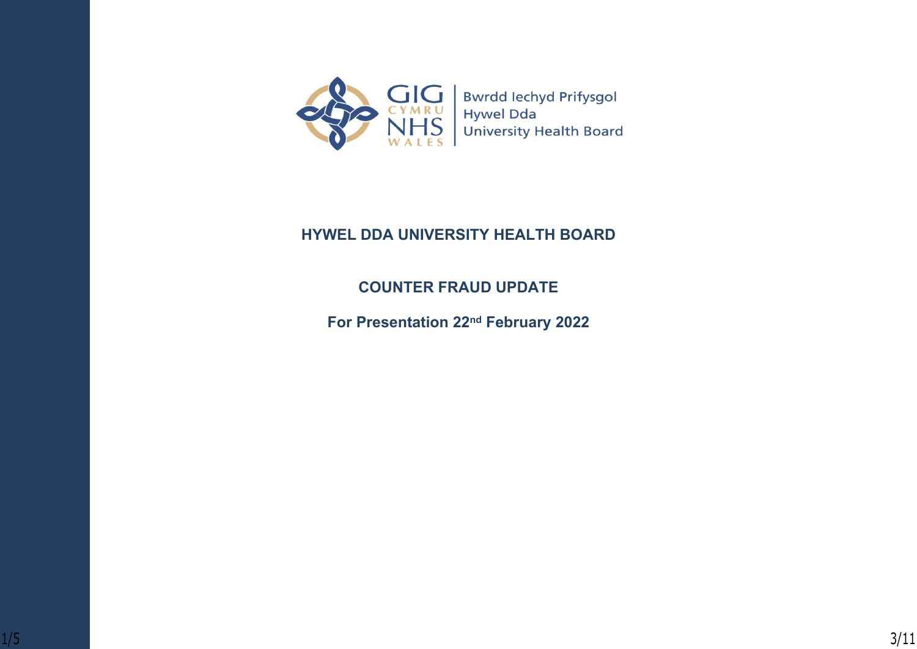

### **HYWEL DDA UNIVERSITY HEALTH BOARD**

### **COUNTER FRAUD UPDATE**

**For Presentation 22nd February 2022**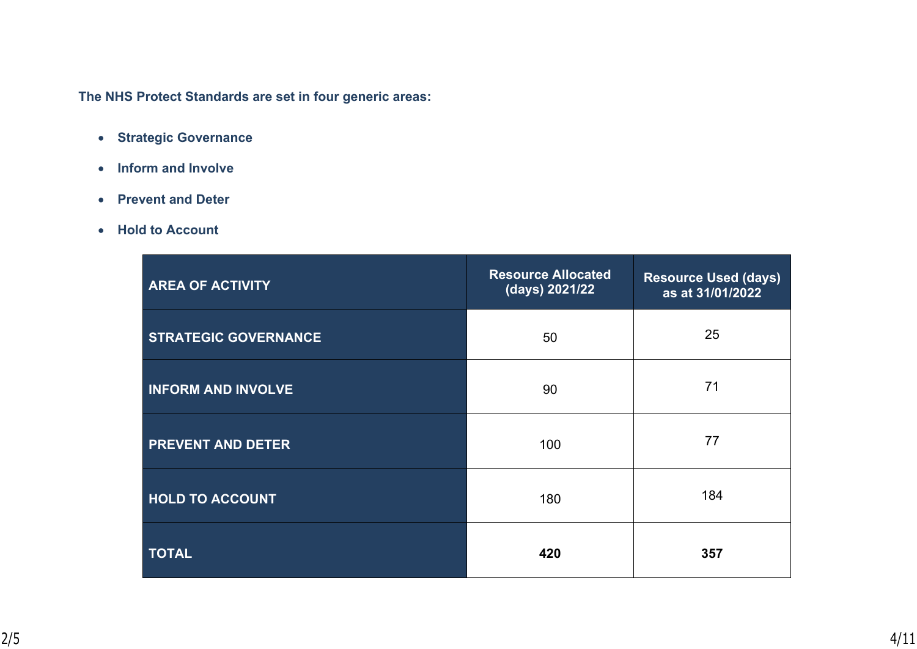**The NHS Protect Standards are set in four generic areas:**

- **Strategic Governance**
- **Inform and Involve**
- **Prevent and Deter**
- **Hold to Account**

| <b>AREA OF ACTIVITY</b>     | <b>Resource Allocated</b><br>(days) 2021/22 | <b>Resource Used (days)</b><br>as at 31/01/2022 |  |
|-----------------------------|---------------------------------------------|-------------------------------------------------|--|
| <b>STRATEGIC GOVERNANCE</b> | 50                                          | 25                                              |  |
| <b>INFORM AND INVOLVE</b>   | 90                                          | 71                                              |  |
| <b>PREVENT AND DETER</b>    | 100                                         | 77                                              |  |
| <b>HOLD TO ACCOUNT</b>      | 180                                         | 184                                             |  |
| <b>TOTAL</b>                | 420                                         | 357                                             |  |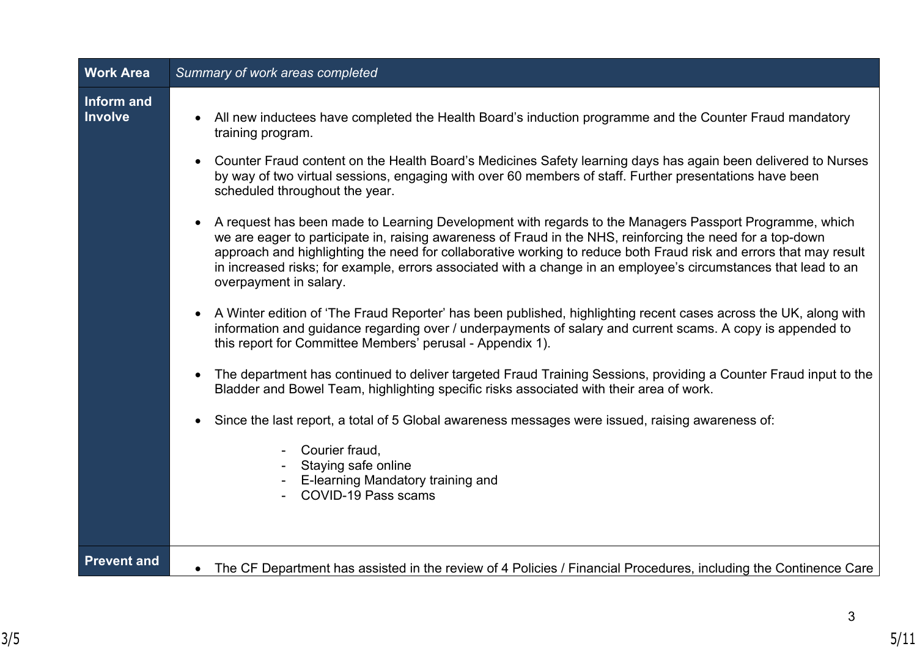| <b>Work Area</b>             | Summary of work areas completed                                                                                                                                                                                                                                                                                                                                                                                                                                                                                                                                                                                                                                                                                                                                                                                                                                                                                                                                                                                                                                                                                                                                                                                                                                                                                                                                                                                                                                                                                                                                                                             |
|------------------------------|-------------------------------------------------------------------------------------------------------------------------------------------------------------------------------------------------------------------------------------------------------------------------------------------------------------------------------------------------------------------------------------------------------------------------------------------------------------------------------------------------------------------------------------------------------------------------------------------------------------------------------------------------------------------------------------------------------------------------------------------------------------------------------------------------------------------------------------------------------------------------------------------------------------------------------------------------------------------------------------------------------------------------------------------------------------------------------------------------------------------------------------------------------------------------------------------------------------------------------------------------------------------------------------------------------------------------------------------------------------------------------------------------------------------------------------------------------------------------------------------------------------------------------------------------------------------------------------------------------------|
| Inform and<br><b>Involve</b> | All new inductees have completed the Health Board's induction programme and the Counter Fraud mandatory<br>training program.<br>Counter Fraud content on the Health Board's Medicines Safety learning days has again been delivered to Nurses<br>by way of two virtual sessions, engaging with over 60 members of staff. Further presentations have been<br>scheduled throughout the year.<br>A request has been made to Learning Development with regards to the Managers Passport Programme, which<br>we are eager to participate in, raising awareness of Fraud in the NHS, reinforcing the need for a top-down<br>approach and highlighting the need for collaborative working to reduce both Fraud risk and errors that may result<br>in increased risks; for example, errors associated with a change in an employee's circumstances that lead to an<br>overpayment in salary.<br>A Winter edition of 'The Fraud Reporter' has been published, highlighting recent cases across the UK, along with<br>information and guidance regarding over / underpayments of salary and current scams. A copy is appended to<br>this report for Committee Members' perusal - Appendix 1).<br>The department has continued to deliver targeted Fraud Training Sessions, providing a Counter Fraud input to the<br>Bladder and Bowel Team, highlighting specific risks associated with their area of work.<br>Since the last report, a total of 5 Global awareness messages were issued, raising awareness of:<br>Courier fraud,<br>Staying safe online<br>E-learning Mandatory training and<br>COVID-19 Pass scams |
| <b>Prevent and</b>           | The CF Department has assisted in the review of 4 Policies / Financial Procedures, including the Continence Care                                                                                                                                                                                                                                                                                                                                                                                                                                                                                                                                                                                                                                                                                                                                                                                                                                                                                                                                                                                                                                                                                                                                                                                                                                                                                                                                                                                                                                                                                            |

3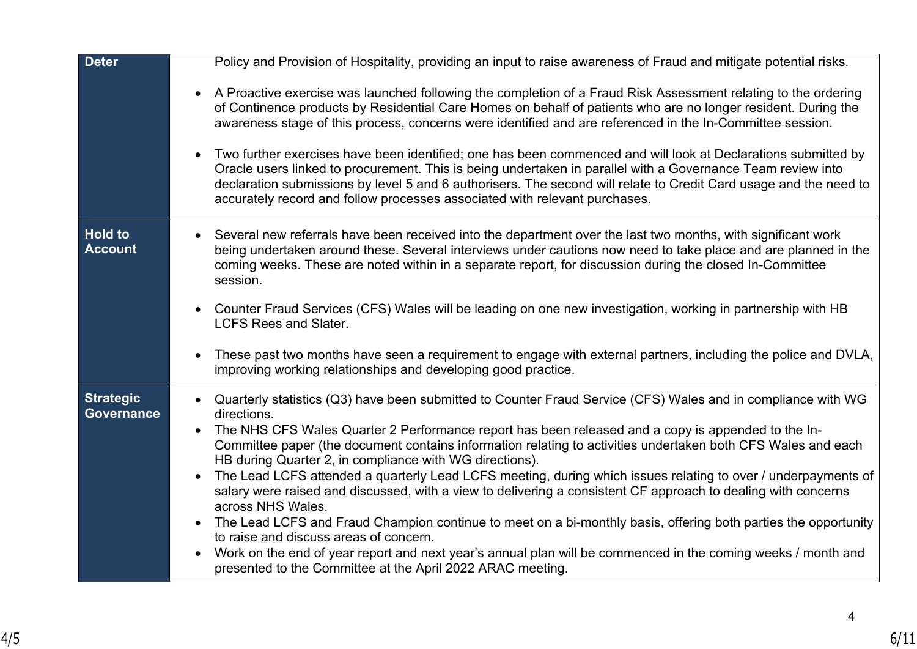| <b>Deter</b>                          | Policy and Provision of Hospitality, providing an input to raise awareness of Fraud and mitigate potential risks.                                                                                                                                                                                                                                                                                                               |
|---------------------------------------|---------------------------------------------------------------------------------------------------------------------------------------------------------------------------------------------------------------------------------------------------------------------------------------------------------------------------------------------------------------------------------------------------------------------------------|
|                                       | A Proactive exercise was launched following the completion of a Fraud Risk Assessment relating to the ordering<br>of Continence products by Residential Care Homes on behalf of patients who are no longer resident. During the<br>awareness stage of this process, concerns were identified and are referenced in the In-Committee session.                                                                                    |
|                                       | Two further exercises have been identified; one has been commenced and will look at Declarations submitted by<br>Oracle users linked to procurement. This is being undertaken in parallel with a Governance Team review into<br>declaration submissions by level 5 and 6 authorisers. The second will relate to Credit Card usage and the need to<br>accurately record and follow processes associated with relevant purchases. |
| <b>Hold to</b><br><b>Account</b>      | Several new referrals have been received into the department over the last two months, with significant work<br>being undertaken around these. Several interviews under cautions now need to take place and are planned in the<br>coming weeks. These are noted within in a separate report, for discussion during the closed In-Committee<br>session.                                                                          |
|                                       | Counter Fraud Services (CFS) Wales will be leading on one new investigation, working in partnership with HB<br><b>LCFS Rees and Slater.</b>                                                                                                                                                                                                                                                                                     |
|                                       | These past two months have seen a requirement to engage with external partners, including the police and DVLA,<br>improving working relationships and developing good practice.                                                                                                                                                                                                                                                 |
| <b>Strategic</b><br><b>Governance</b> | Quarterly statistics (Q3) have been submitted to Counter Fraud Service (CFS) Wales and in compliance with WG<br>directions.                                                                                                                                                                                                                                                                                                     |
|                                       | The NHS CFS Wales Quarter 2 Performance report has been released and a copy is appended to the In-<br>Committee paper (the document contains information relating to activities undertaken both CFS Wales and each<br>HB during Quarter 2, in compliance with WG directions).                                                                                                                                                   |
|                                       | The Lead LCFS attended a quarterly Lead LCFS meeting, during which issues relating to over / underpayments of<br>salary were raised and discussed, with a view to delivering a consistent CF approach to dealing with concerns<br>across NHS Wales.                                                                                                                                                                             |
|                                       | The Lead LCFS and Fraud Champion continue to meet on a bi-monthly basis, offering both parties the opportunity<br>to raise and discuss areas of concern.                                                                                                                                                                                                                                                                        |
|                                       | Work on the end of year report and next year's annual plan will be commenced in the coming weeks / month and<br>presented to the Committee at the April 2022 ARAC meeting.                                                                                                                                                                                                                                                      |

4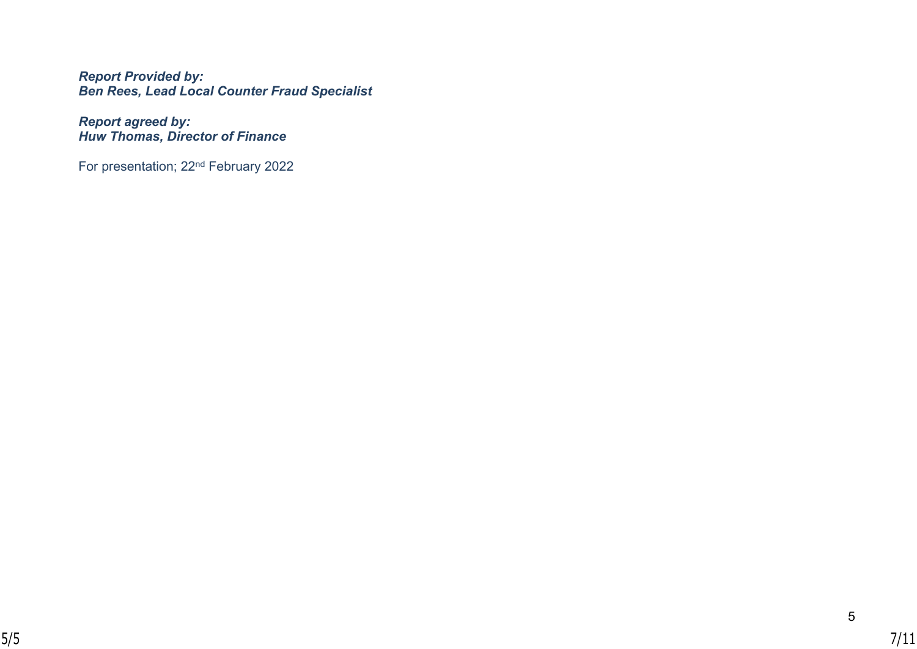*Report Provided by: Ben Rees, Lead Local Counter Fraud Specialist* 

*Report agreed by: Huw Thomas, Director of Finance*

For presentation; 22nd February 2022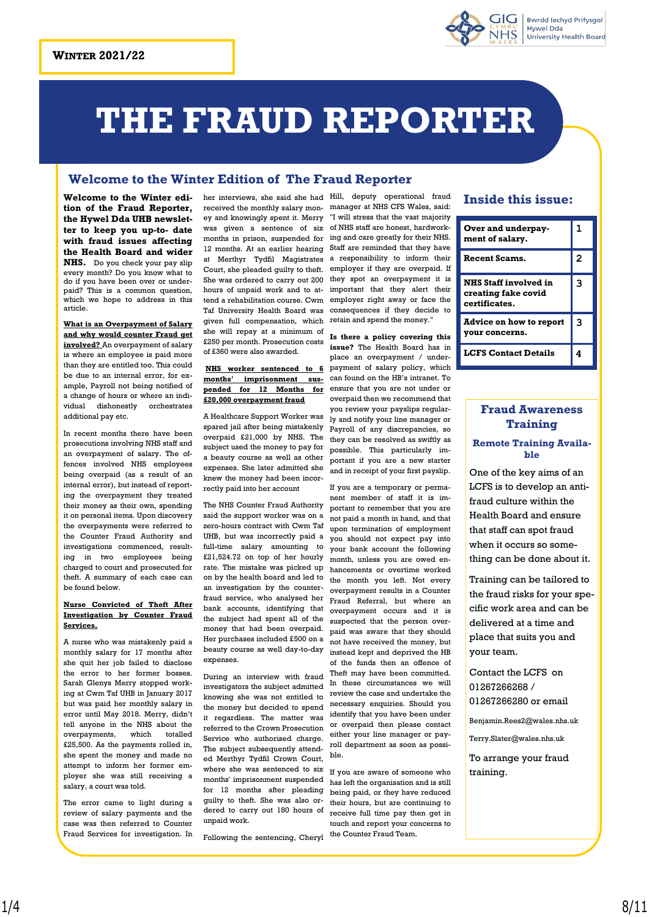

# **THE FRAUD REPORTER**

#### **Welcome to the Winter Edition of The Fraud Reporter**

**Welcome to the Winter edition of the Fraud Reporter, the Hywel Dda UHB newsletter to keep you up-to- date with fraud issues affecting the Health Board and wider NHS.** Do you check your pay slip every month? Do you know what to do if you have been over or underpaid? This is a common question, which we hope to address in this article.

**What is an Overpayment of Salary and why would counter Fraud get involved?** An overpayment of salary is where an employee is paid more than they are entitled too. This could be due to an internal error, for example, Payroll not being notified of a change of hours or where an individual dishonestly orchestrates additional pay etc.

In recent months there have been prosecutions involving NHS staff and an overpayment of salary. The offences involved NHS employees being overpaid (as a result of an internal error), but instead of reporting the overpayment they treated their money as their own, spending it on personal items. Upon discovery the overpayments were referred to the Counter Fraud Authority and investigations commenced, resulting in two employees being charged to court and prosecuted for theft. A summary of each case can be found below.

#### **Nurse Convicted of Theft After Investigation by Counter Fraud Services.**

A nurse who was mistakenly paid a monthly salary for 17 months after she quit her job failed to disclose the error to her former bosses. Sarah Glenys Merry stopped working at Cwm Taf UHB in January 2017 but was paid her monthly salary in error until May 2018. Merry, didn't tell anyone in the NHS about the overpayments, which totalled £25,500. As the payments rolled in, she spent the money and made no attempt to inform her former employer she was still receiving a salary, a court was told.

The error came to light during a review of salary payments and the case was then referred to Counter Fraud Services for investigation. In

was given a sentence of six of NHS staff are honest, hardworkgiven full compensation, which retain and spend the money." she will repay at a minimum of £250 per month. Prosecution costs of £360 were also awarded.

#### **months' imprisonment suspended for 12 Months for £20,000 overpayment fraud**

A Healthcare Support Worker was spared jail after being mistakenly overpaid £21,000 by NHS. The subject used the money to pay for a beauty course as well as other expenses. She later admitted she knew the money had been incorrectly paid into her account

The NHS Counter Fraud Authority said the support worker was on a zero-hours contract with Cwm Taf UHB, but was incorrectly paid a full-time salary amounting to £21,524.72 on top of her hourly rate. The mistake was picked up on by the health board and led to an investigation by the counterfraud service, who analysed her bank accounts, identifying that the subject had spent all of the money that had been overpaid. Her purchases included £500 on a beauty course as well day-to-day expenses.

During an interview with fraud investigators the subject admitted knowing she was not entitled to the money but decided to spend it regardless. The matter was referred to the Crown Prosecution Service who authorised charge. The subject subsequently attended Merthyr Tydfil Crown Court, where she was sentenced to six months' imprisonment suspended for 12 months after pleading being paid, or they have reduced guilty to theft. She was also ordered to carry out 180 hours of unpaid work.

Following the sentencing, Cheryl

her interviews, she said she had Hill, deputy operational fraud received the monthly salary mon-manager at NHS CFS Wales, said: ey and knowingly spent it. Merry "I will stress that the vast majority months in prison, suspended for ing and care greatly for their NHS. 12 months. At an earlier hearing Staff are reminded that they have at Merthyr Tydfil Magistrates a responsibility to inform their Court, she pleaded guilty to theft. employer if they are overpaid. If She was ordered to carry out 200 they spot an overpayment it is hours of unpaid work and to at-important that they alert their tend a rehabilitation course. Cwm employer right away or face the Taf University Health Board was consequences if they decide to

**NHS worker sentenced to 6**  payment of salary policy, which **Is there a policy covering this issue?** The Health Board has in place an overpayment / undercan found on the HB's intranet. To ensure that you are not under or overpaid then we recommend that you review your payslips regularly and notify your line manager or Payroll of any discrepancies, so they can be resolved as swiftly as possible. This particularly important if you are a new starter and in receipt of your first payslip.

> If you are a temporary or permanent member of staff it is important to remember that you are not paid a month in hand, and that upon termination of employment you should not expect pay into your bank account the following month, unless you are owed enhancements or overtime worked the month you left. Not every overpayment results in a Counter Fraud Referral, but where an overpayment occurs and it is suspected that the person overpaid was aware that they should not have received the money, but instead kept and deprived the HB of the funds then an offence of Theft may have been committed. In these circumstances we will review the case and undertake the necessary enquiries. Should you identify that you have been under or overpaid then please contact either your line manager or payroll department as soon as possible.

> If you are aware of someone who has left the organisation and is still their hours, but are continuing to receive full time pay then get in touch and report your concerns to the Counter Fraud Team.

#### **Inside this issue:**

| Over and underpay-<br>ment of salary.                         | 1 |
|---------------------------------------------------------------|---|
| <b>Recent Scams.</b>                                          | 2 |
| NHS Staff involved in<br>creating fake covid<br>certificates. | ٩ |
| <b>Advice on how to report</b><br><b>vour concerns.</b>       | 3 |
| <b>LCFS Contact Details</b>                                   |   |

#### **Fraud Awareness Training**

#### **Remote Training Available**

One of the key aims of an LCFS is to develop an antifraud culture within the Health Board and ensure that staff can spot fraud when it occurs so something can be done about it.

Training can be tailored to the fraud risks for your specific work area and can be delivered at a time and place that suits you and your team.

Contact the LCFS on 01267266268 / 01267266280 or email

Benjamin.Rees2@wales.nhs.uk

Terry.Slater@wales.nhs.uk

To arrange your fraud training.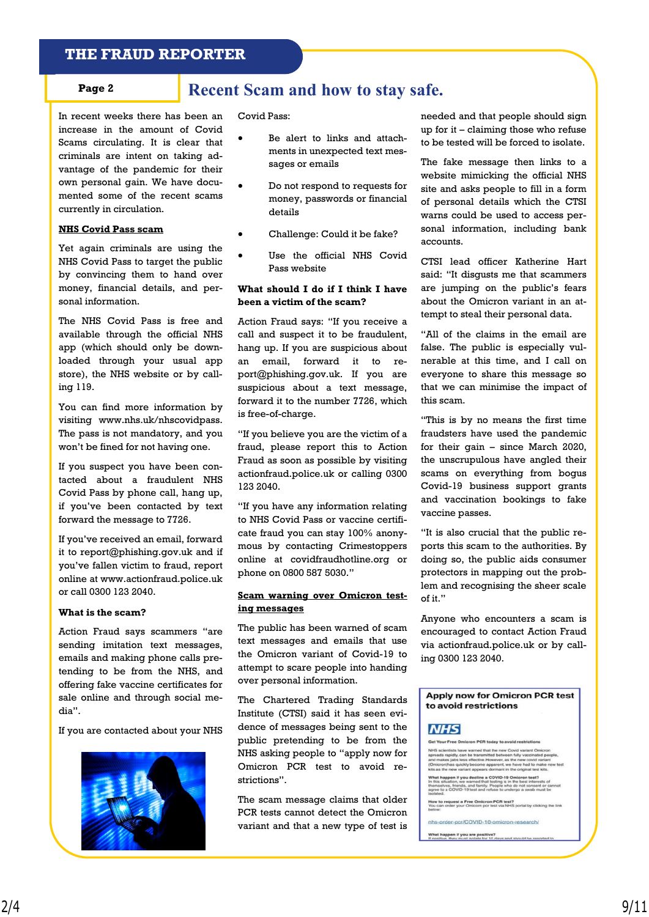### **THE FRAUD REPORTER**

### **Page 2 Recent Scam and how to stay safe.**

In recent weeks there has been an increase in the amount of Covid Scams circulating. It is clear that criminals are intent on taking advantage of the pandemic for their own personal gain. We have documented some of the recent scams currently in circulation.

#### **NHS Covid Pass scam**

Yet again criminals are using the NHS Covid Pass to target the public by convincing them to hand over money, financial details, and personal information.

The NHS Covid Pass is free and available through the official NHS app (which should only be downloaded through your usual app store), the NHS website or by calling 119.

You can find more information by visiting www.nhs.uk/nhscovidpass. The pass is not mandatory, and you won't be fined for not having one.

If you suspect you have been contacted about a fraudulent NHS Covid Pass by phone call, hang up, if you've been contacted by text forward the message to 7726.

If you've received an email, forward it to report@phishing.gov.uk and if you've fallen victim to fraud, report online at www.actionfraud.police.uk or call 0300 123 2040.

#### **What is the scam?**

Action Fraud says scammers "are sending imitation text messages, emails and making phone calls pretending to be from the NHS, and offering fake vaccine certificates for sale online and through social media".

If you are contacted about your NHS



Covid Pass:

- Be alert to links and attachments in unexpected text messages or emails
- Do not respond to requests for money, passwords or financial details
- Challenge: Could it be fake?
- Use the official NHS Covid Pass website

#### **What should I do if I think I have been a victim of the scam?**

Action Fraud says: "If you receive a call and suspect it to be fraudulent, hang up. If you are suspicious about an email, forward it to report@phishing.gov.uk. If you are suspicious about a text message, forward it to the number 7726, which is free-of-charge.

"If you believe you are the victim of a fraud, please report this to Action Fraud as soon as possible by visiting actionfraud.police.uk or calling 0300 123 2040.

"If you have any information relating to NHS Covid Pass or vaccine certificate fraud you can stay 100% anonymous by contacting Crimestoppers online at covidfraudhotline.org or phone on 0800 587 5030."

#### **Scam warning over Omicron testing messages**

The public has been warned of scam text messages and emails that use the Omicron variant of Covid-19 to attempt to scare people into handing over personal information.

The Chartered Trading Standards Institute (CTSI) said it has seen evidence of messages being sent to the public pretending to be from the NHS asking people to "apply now for Omicron PCR test to avoid restrictions".

The scam message claims that older PCR tests cannot detect the Omicron variant and that a new type of test is needed and that people should sign up for it – claiming those who refuse to be tested will be forced to isolate.

The fake message then links to a website mimicking the official NHS site and asks people to fill in a form of personal details which the CTSI warns could be used to access personal information, including bank accounts.

CTSI lead officer Katherine Hart said: "It disgusts me that scammers are jumping on the public's fears about the Omicron variant in an attempt to steal their personal data.

"All of the claims in the email are false. The public is especially vulnerable at this time, and I call on everyone to share this message so that we can minimise the impact of this scam.

"This is by no means the first time fraudsters have used the pandemic for their gain – since March 2020, the unscrupulous have angled their scams on everything from bogus Covid-19 business support grants and vaccination bookings to fake vaccine passes.

"It is also crucial that the public reports this scam to the authorities. By doing so, the public aids consumer protectors in mapping out the problem and recognising the sheer scale of it."

Anyone who encounters a scam is encouraged to contact Action Fraud via actionfraud.police.uk or by calling 0300 123 2040.

#### **Apply now for Omicron PCR test** to avoid restrictions

#### **NHS**

Got Your Ereo On ron PCR today to avoid r

How to request a Free Omicron PCR test?<br>You can order your Omicom pcr test via NHS

nhs-order-pcr/COVID-10-omicron-re

hat happen if you are positive?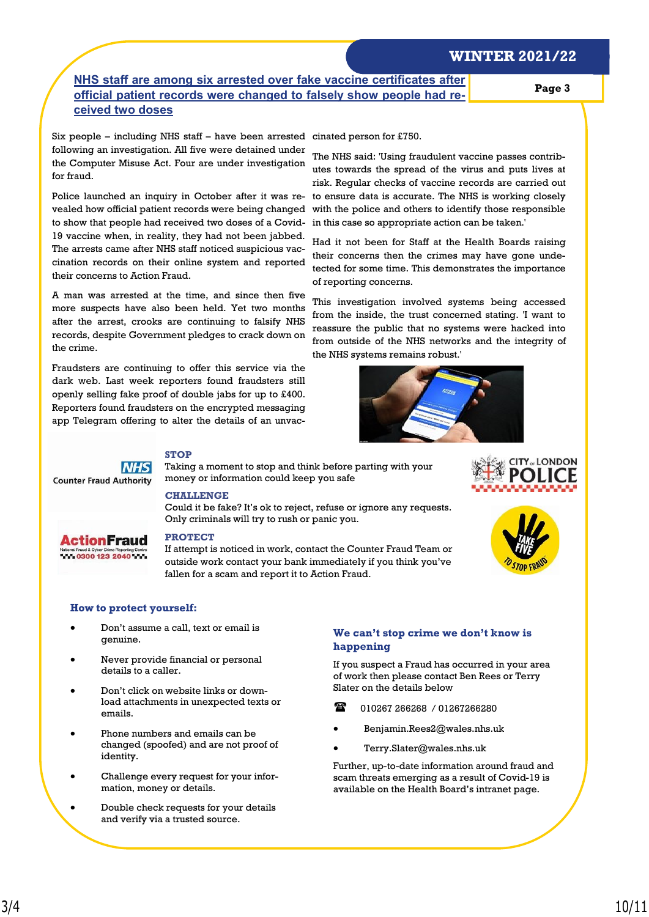### **WINTER 2021/22**

#### **NHS staff are among six arrested over fake vaccine certificates after official patient records were changed to falsely show people had received two doses**

**Page 3**

Six people – including NHS staff – have been arrested cinated person for £750. following an investigation. All five were detained under the Computer Misuse Act. Four are under investigation for fraud.

Police launched an inquiry in October after it was reto show that people had received two doses of a Covid-in this case so appropriate action can be taken.' 19 vaccine when, in reality, they had not been jabbed. The arrests came after NHS staff noticed suspicious vaccination records on their online system and reported their concerns to Action Fraud.

A man was arrested at the time, and since then five more suspects have also been held. Yet two months after the arrest, crooks are continuing to falsify NHS records, despite Government pledges to crack down on the crime.

Fraudsters are continuing to offer this service via the dark web. Last week reporters found fraudsters still openly selling fake proof of double jabs for up to £400. Reporters found fraudsters on the encrypted messaging app Telegram offering to alter the details of an unvac-

vealed how official patient records were being changed with the police and others to identify those responsible The NHS said: 'Using fraudulent vaccine passes contributes towards the spread of the virus and puts lives at risk. Regular checks of vaccine records are carried out to ensure data is accurate. The NHS is working closely

> Had it not been for Staff at the Health Boards raising their concerns then the crimes may have gone undetected for some time. This demonstrates the importance of reporting concerns.

> This investigation involved systems being accessed from the inside, the trust concerned stating. 'I want to reassure the public that no systems were hacked into from outside of the NHS networks and the integrity of the NHS systems remains robust.'



#### **STOP**

Taking a moment to stop and think before parting with your money or information could keep you safe

#### **CHALLENGE**

Could it be fake? It's ok to reject, refuse or ignore any requests. Only criminals will try to rush or panic you.



**Counter Fraud Authority** 

#### **PROTECT**

National Fraud & Cyber Crime Heporting Centre



If attempt is noticed in work, contact the Counter Fraud Team or outside work contact your bank immediately if you think you've fallen for a scam and report it to Action Fraud.

#### **How to protect yourself:**

**NHS** 

- Don't assume a call, text or email is genuine.
- Never provide financial or personal details to a caller.
- Don't click on website links or download attachments in unexpected texts or emails.
- Phone numbers and emails can be changed (spoofed) and are not proof of identity.
- Challenge every request for your information, money or details.
- Double check requests for your details and verify via a trusted source.

#### **We can't stop crime we don't know is happening**

If you suspect a Fraud has occurred in your area of work then please contact Ben Rees or Terry Slater on the details below

- 10267 266268 / 01267266280
- Benjamin.Rees2@wales.nhs.uk
- Terry.Slater@wales.nhs.uk

Further, up-to-date information around fraud and scam threats emerging as a result of Covid-19 is available on the Health Board's intranet page.